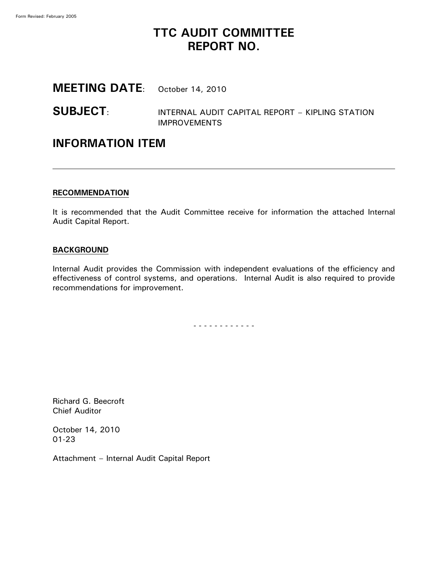# **TTC AUDIT COMMITTEE REPORT NO.**

# **MEETING DATE**: October 14, 2010

**SUBJECT**: INTERNAL AUDIT CAPITAL REPORT – KIPLING STATION IMPROVEMENTS

### **INFORMATION ITEM**

#### **RECOMMENDATION**

It is recommended that the Audit Committee receive for information the attached Internal Audit Capital Report.

#### **BACKGROUND**

Internal Audit provides the Commission with independent evaluations of the efficiency and effectiveness of control systems, and operations. Internal Audit is also required to provide recommendations for improvement.

- - - - - - - - - - - -

Richard G. Beecroft Chief Auditor

October 14, 2010 01-23

Attachment – Internal Audit Capital Report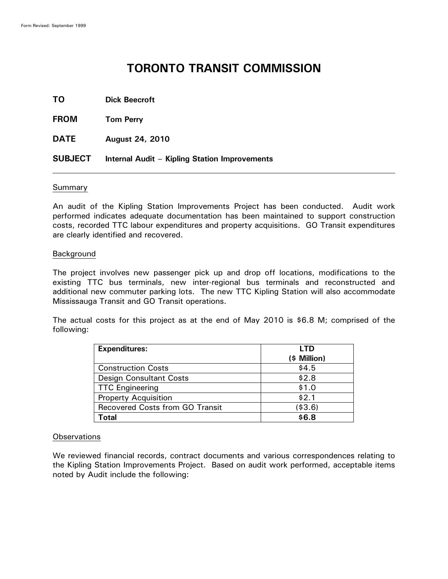# **TORONTO TRANSIT COMMISSION**

| TO.         | <b>Dick Beecroft</b> |
|-------------|----------------------|
| <b>FROM</b> | <b>Tom Perry</b>     |

**DATE August 24, 2010**

**SUBJECT Internal Audit – Kipling Station Improvements**

#### Summary

An audit of the Kipling Station Improvements Project has been conducted. Audit work performed indicates adequate documentation has been maintained to support construction costs, recorded TTC labour expenditures and property acquisitions. GO Transit expenditures are clearly identified and recovered.

#### Background

The project involves new passenger pick up and drop off locations, modifications to the existing TTC bus terminals, new inter-regional bus terminals and reconstructed and additional new commuter parking lots. The new TTC Kipling Station will also accommodate Mississauga Transit and GO Transit operations.

The actual costs for this project as at the end of May 2010 is \$6.8 M; comprised of the following:

| <b>Expenditures:</b>                   | <b>LTD</b>   |
|----------------------------------------|--------------|
|                                        | (\$ Million) |
| <b>Construction Costs</b>              | \$4.5        |
| <b>Design Consultant Costs</b>         | \$2.8        |
| <b>TTC Engineering</b>                 | \$1.0        |
| <b>Property Acquisition</b>            | \$2.1        |
| <b>Recovered Costs from GO Transit</b> | ( \$3.6)     |
| Total                                  | \$6.8        |

#### **Observations**

We reviewed financial records, contract documents and various correspondences relating to the Kipling Station Improvements Project. Based on audit work performed, acceptable items noted by Audit include the following: